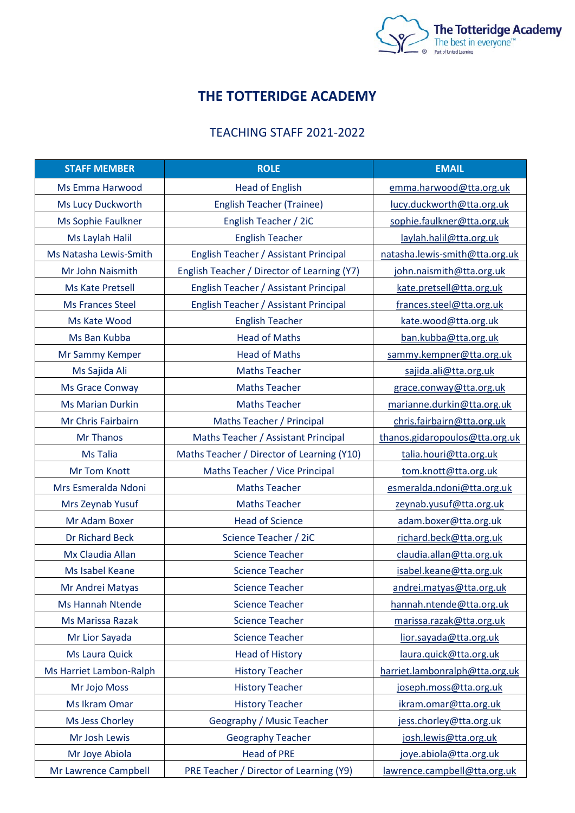

## **THE TOTTERIDGE ACADEMY**

## TEACHING STAFF 2021-2022

| <b>STAFF MEMBER</b>     | <b>ROLE</b>                                 | <b>EMAIL</b>                   |
|-------------------------|---------------------------------------------|--------------------------------|
| Ms Emma Harwood         | <b>Head of English</b>                      | emma.harwood@tta.org.uk        |
| Ms Lucy Duckworth       | <b>English Teacher (Trainee)</b>            | lucy.duckworth@tta.org.uk      |
| Ms Sophie Faulkner      | English Teacher / 2iC                       | sophie.faulkner@tta.org.uk     |
| Ms Laylah Halil         | <b>English Teacher</b>                      | laylah.halil@tta.org.uk        |
| Ms Natasha Lewis-Smith  | English Teacher / Assistant Principal       | natasha.lewis-smith@tta.org.uk |
| Mr John Naismith        | English Teacher / Director of Learning (Y7) | john.naismith@tta.org.uk       |
| Ms Kate Pretsell        | English Teacher / Assistant Principal       | kate.pretsell@tta.org.uk       |
| <b>Ms Frances Steel</b> | English Teacher / Assistant Principal       | frances.steel@tta.org.uk       |
| Ms Kate Wood            | <b>English Teacher</b>                      | kate.wood@tta.org.uk           |
| Ms Ban Kubba            | <b>Head of Maths</b>                        | ban.kubba@tta.org.uk           |
| Mr Sammy Kemper         | <b>Head of Maths</b>                        | sammy.kempner@tta.org.uk       |
| Ms Sajida Ali           | <b>Maths Teacher</b>                        | sajida.ali@tta.org.uk          |
| <b>Ms Grace Conway</b>  | <b>Maths Teacher</b>                        | grace.conway@tta.org.uk        |
| <b>Ms Marian Durkin</b> | <b>Maths Teacher</b>                        | marianne.durkin@tta.org.uk     |
| Mr Chris Fairbairn      | Maths Teacher / Principal                   | chris.fairbairn@tta.org.uk     |
| Mr Thanos               | Maths Teacher / Assistant Principal         | thanos.gidaropoulos@tta.org.uk |
| <b>Ms Talia</b>         | Maths Teacher / Director of Learning (Y10)  | talia.houri@tta.org.uk         |
| <b>Mr Tom Knott</b>     | Maths Teacher / Vice Principal              | tom.knott@tta.org.uk           |
| Mrs Esmeralda Ndoni     | <b>Maths Teacher</b>                        | esmeralda.ndoni@tta.org.uk     |
| Mrs Zeynab Yusuf        | <b>Maths Teacher</b>                        | zeynab.yusuf@tta.org.uk        |
| Mr Adam Boxer           | <b>Head of Science</b>                      | adam.boxer@tta.org.uk          |
| <b>Dr Richard Beck</b>  | Science Teacher / 2iC                       | richard.beck@tta.org.uk        |
| Mx Claudia Allan        | <b>Science Teacher</b>                      | claudia.allan@tta.org.uk       |
| Ms Isabel Keane         | <b>Science Teacher</b>                      | isabel.keane@tta.org.uk        |
| Mr Andrei Matyas        | <b>Science Teacher</b>                      | andrei.matyas@tta.org.uk       |
| <b>Ms Hannah Ntende</b> | <b>Science Teacher</b>                      | hannah.ntende@tta.org.uk       |
| Ms Marissa Razak        | <b>Science Teacher</b>                      | marissa.razak@tta.org.uk       |
| Mr Lior Sayada          | <b>Science Teacher</b>                      | lior.sayada@tta.org.uk         |
| Ms Laura Quick          | <b>Head of History</b>                      | laura.quick@tta.org.uk         |
| Ms Harriet Lambon-Ralph | <b>History Teacher</b>                      | harriet.lambonralph@tta.org.uk |
| Mr Jojo Moss            | <b>History Teacher</b>                      | joseph.moss@tta.org.uk         |
| Ms Ikram Omar           | <b>History Teacher</b>                      | ikram.omar@tta.org.uk          |
| Ms Jess Chorley         | Geography / Music Teacher                   | jess.chorley@tta.org.uk        |
| Mr Josh Lewis           | <b>Geography Teacher</b>                    | josh.lewis@tta.org.uk          |
| Mr Joye Abiola          | <b>Head of PRE</b>                          | joye.abiola@tta.org.uk         |
| Mr Lawrence Campbell    | PRE Teacher / Director of Learning (Y9)     | lawrence.campbell@tta.org.uk   |